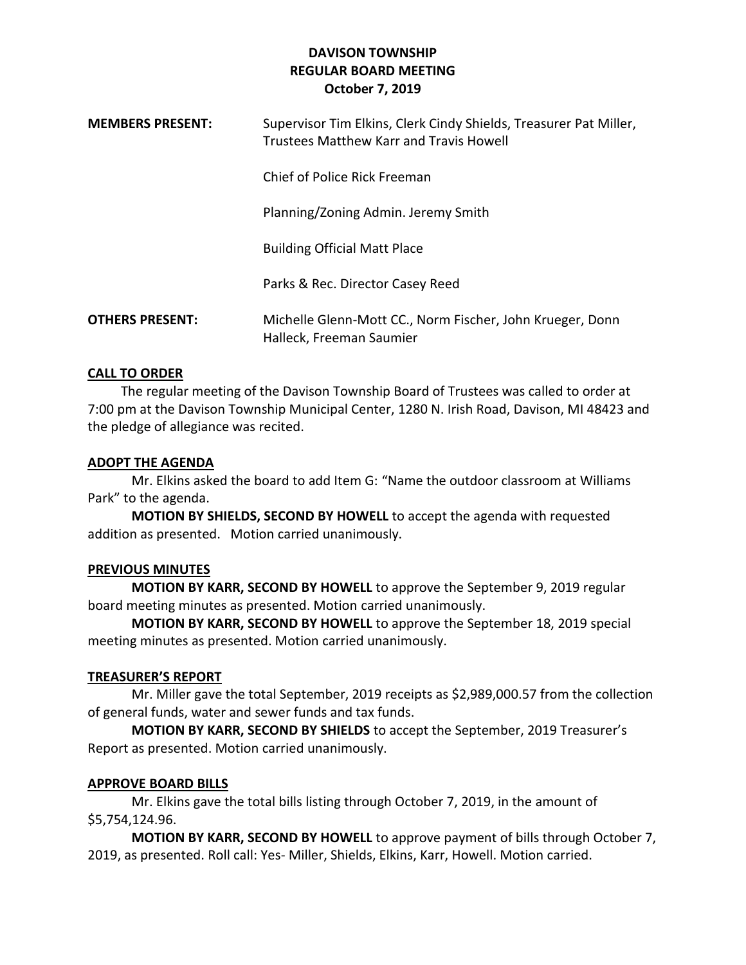| <b>MEMBERS PRESENT:</b> | Supervisor Tim Elkins, Clerk Cindy Shields, Treasurer Pat Miller,<br>Trustees Matthew Karr and Travis Howell |
|-------------------------|--------------------------------------------------------------------------------------------------------------|
|                         | Chief of Police Rick Freeman                                                                                 |
|                         | Planning/Zoning Admin. Jeremy Smith                                                                          |
|                         | <b>Building Official Matt Place</b>                                                                          |
|                         | Parks & Rec. Director Casey Reed                                                                             |
| <b>OTHERS PRESENT:</b>  | Michelle Glenn-Mott CC., Norm Fischer, John Krueger, Donn<br>Halleck, Freeman Saumier                        |

## **CALL TO ORDER**

 The regular meeting of the Davison Township Board of Trustees was called to order at 7:00 pm at the Davison Township Municipal Center, 1280 N. Irish Road, Davison, MI 48423 and the pledge of allegiance was recited.

## **ADOPT THE AGENDA**

Mr. Elkins asked the board to add Item G: "Name the outdoor classroom at Williams Park" to the agenda.

**MOTION BY SHIELDS, SECOND BY HOWELL** to accept the agenda with requested addition as presented. Motion carried unanimously.

# **PREVIOUS MINUTES**

**MOTION BY KARR, SECOND BY HOWELL** to approve the September 9, 2019 regular board meeting minutes as presented. Motion carried unanimously.

**MOTION BY KARR, SECOND BY HOWELL** to approve the September 18, 2019 special meeting minutes as presented. Motion carried unanimously.

#### **TREASURER'S REPORT**

Mr. Miller gave the total September, 2019 receipts as \$2,989,000.57 from the collection of general funds, water and sewer funds and tax funds.

**MOTION BY KARR, SECOND BY SHIELDS** to accept the September, 2019 Treasurer's Report as presented. Motion carried unanimously.

# **APPROVE BOARD BILLS**

Mr. Elkins gave the total bills listing through October 7, 2019, in the amount of \$5,754,124.96.

**MOTION BY KARR, SECOND BY HOWELL** to approve payment of bills through October 7, 2019, as presented. Roll call: Yes- Miller, Shields, Elkins, Karr, Howell. Motion carried.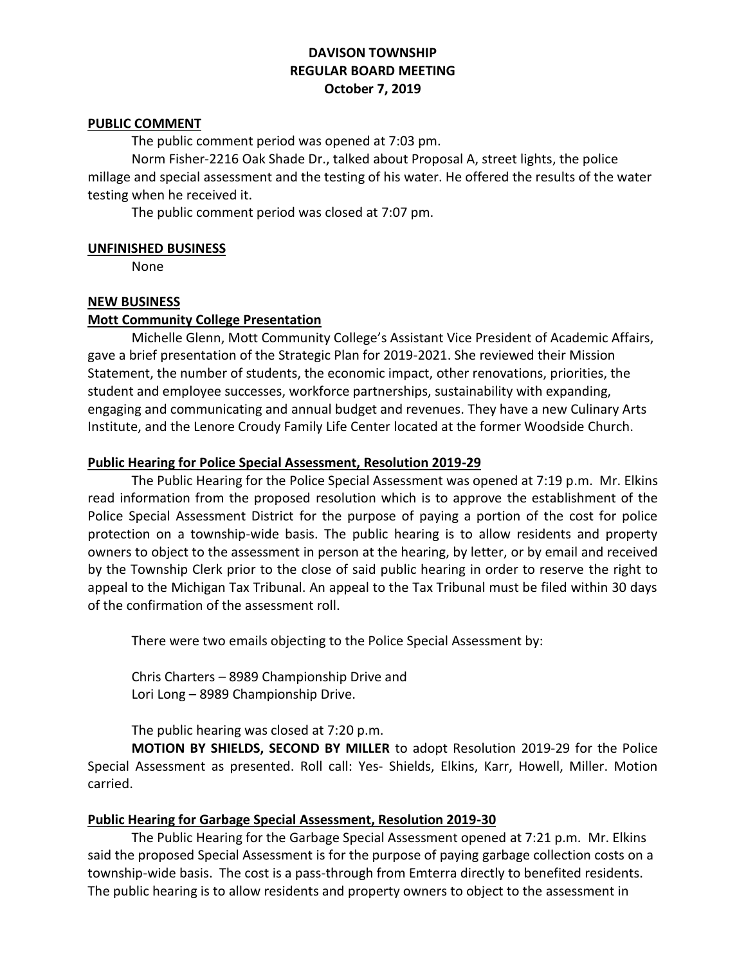#### **PUBLIC COMMENT**

The public comment period was opened at 7:03 pm.

Norm Fisher-2216 Oak Shade Dr., talked about Proposal A, street lights, the police millage and special assessment and the testing of his water. He offered the results of the water testing when he received it.

The public comment period was closed at 7:07 pm.

#### **UNFINISHED BUSINESS**

None

#### **NEW BUSINESS**

#### **Mott Community College Presentation**

Michelle Glenn, Mott Community College's Assistant Vice President of Academic Affairs, gave a brief presentation of the Strategic Plan for 2019-2021. She reviewed their Mission Statement, the number of students, the economic impact, other renovations, priorities, the student and employee successes, workforce partnerships, sustainability with expanding, engaging and communicating and annual budget and revenues. They have a new Culinary Arts Institute, and the Lenore Croudy Family Life Center located at the former Woodside Church.

#### **Public Hearing for Police Special Assessment, Resolution 2019-29**

The Public Hearing for the Police Special Assessment was opened at 7:19 p.m. Mr. Elkins read information from the proposed resolution which is to approve the establishment of the Police Special Assessment District for the purpose of paying a portion of the cost for police protection on a township-wide basis. The public hearing is to allow residents and property owners to object to the assessment in person at the hearing, by letter, or by email and received by the Township Clerk prior to the close of said public hearing in order to reserve the right to appeal to the Michigan Tax Tribunal. An appeal to the Tax Tribunal must be filed within 30 days of the confirmation of the assessment roll.

There were two emails objecting to the Police Special Assessment by:

Chris Charters – 8989 Championship Drive and Lori Long – 8989 Championship Drive.

The public hearing was closed at 7:20 p.m.

**MOTION BY SHIELDS, SECOND BY MILLER** to adopt Resolution 2019-29 for the Police Special Assessment as presented. Roll call: Yes- Shields, Elkins, Karr, Howell, Miller. Motion carried.

#### **Public Hearing for Garbage Special Assessment, Resolution 2019-30**

The Public Hearing for the Garbage Special Assessment opened at 7:21 p.m. Mr. Elkins said the proposed Special Assessment is for the purpose of paying garbage collection costs on a township-wide basis. The cost is a pass-through from Emterra directly to benefited residents. The public hearing is to allow residents and property owners to object to the assessment in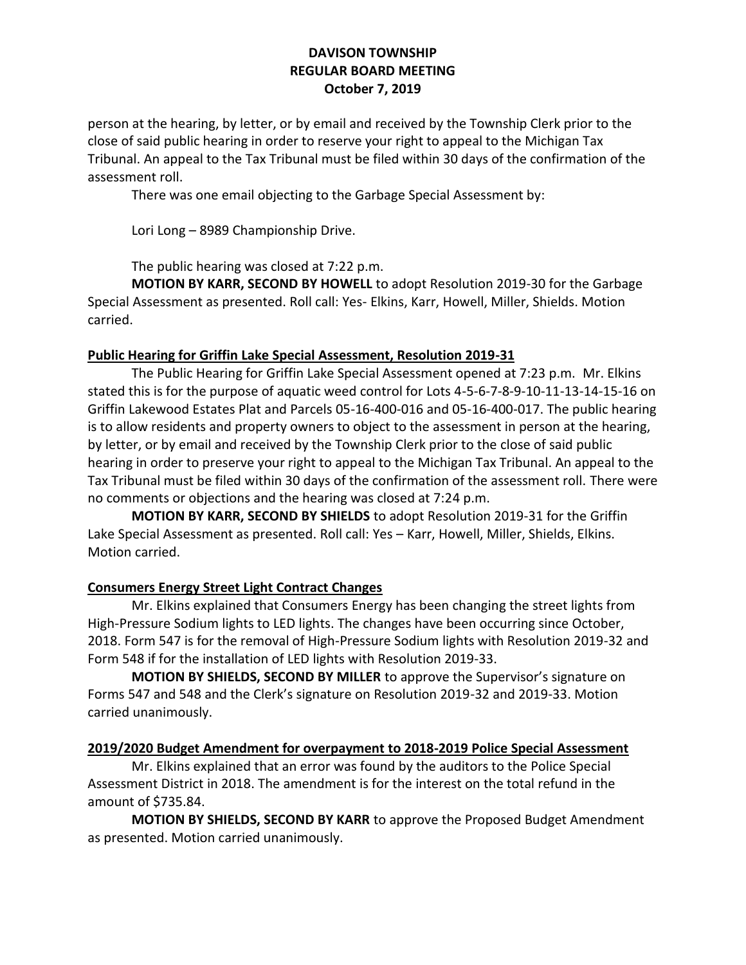person at the hearing, by letter, or by email and received by the Township Clerk prior to the close of said public hearing in order to reserve your right to appeal to the Michigan Tax Tribunal. An appeal to the Tax Tribunal must be filed within 30 days of the confirmation of the assessment roll.

There was one email objecting to the Garbage Special Assessment by:

Lori Long – 8989 Championship Drive.

The public hearing was closed at 7:22 p.m.

**MOTION BY KARR, SECOND BY HOWELL** to adopt Resolution 2019-30 for the Garbage Special Assessment as presented. Roll call: Yes- Elkins, Karr, Howell, Miller, Shields. Motion carried.

## **Public Hearing for Griffin Lake Special Assessment, Resolution 2019-31**

The Public Hearing for Griffin Lake Special Assessment opened at 7:23 p.m. Mr. Elkins stated this is for the purpose of aquatic weed control for Lots 4-5-6-7-8-9-10-11-13-14-15-16 on Griffin Lakewood Estates Plat and Parcels 05-16-400-016 and 05-16-400-017. The public hearing is to allow residents and property owners to object to the assessment in person at the hearing, by letter, or by email and received by the Township Clerk prior to the close of said public hearing in order to preserve your right to appeal to the Michigan Tax Tribunal. An appeal to the Tax Tribunal must be filed within 30 days of the confirmation of the assessment roll. There were no comments or objections and the hearing was closed at 7:24 p.m.

**MOTION BY KARR, SECOND BY SHIELDS** to adopt Resolution 2019-31 for the Griffin Lake Special Assessment as presented. Roll call: Yes – Karr, Howell, Miller, Shields, Elkins. Motion carried.

# **Consumers Energy Street Light Contract Changes**

Mr. Elkins explained that Consumers Energy has been changing the street lights from High-Pressure Sodium lights to LED lights. The changes have been occurring since October, 2018. Form 547 is for the removal of High-Pressure Sodium lights with Resolution 2019-32 and Form 548 if for the installation of LED lights with Resolution 2019-33.

**MOTION BY SHIELDS, SECOND BY MILLER** to approve the Supervisor's signature on Forms 547 and 548 and the Clerk's signature on Resolution 2019-32 and 2019-33. Motion carried unanimously.

# **2019/2020 Budget Amendment for overpayment to 2018-2019 Police Special Assessment**

Mr. Elkins explained that an error was found by the auditors to the Police Special Assessment District in 2018. The amendment is for the interest on the total refund in the amount of \$735.84.

**MOTION BY SHIELDS, SECOND BY KARR** to approve the Proposed Budget Amendment as presented. Motion carried unanimously.